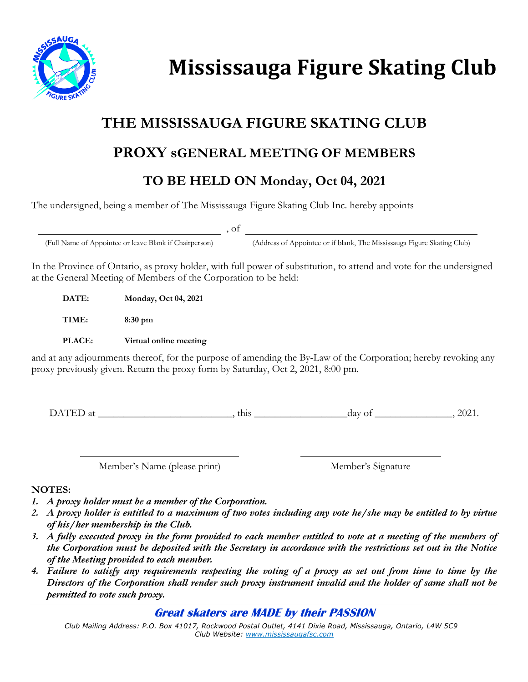

# **Mississauga Figure Skating Club**

## **THE MISSISSAUGA FIGURE SKATING CLUB**

## **PROXY sGENERAL MEETING OF MEMBERS**

### **TO BE HELD ON Monday, Oct 04, 2021**

The undersigned, being a member of The Mississauga Figure Skating Club Inc. hereby appoints

, of

(Full Name of Appointee or leave Blank if Chairperson) (Address of Appointee or if blank, The Mississauga Figure Skating Club)

In the Province of Ontario, as proxy holder, with full power of substitution, to attend and vote for the undersigned at the General Meeting of Members of the Corporation to be held:

**DATE: Monday, Oct 04, 2021**

**TIME: 8:30 pm**

**PLACE: Virtual online meeting**

and at any adjournments thereof, for the purpose of amending the By-Law of the Corporation; hereby revoking any proxy previously given. Return the proxy form by Saturday, Oct 2, 2021, 8:00 pm.

DATED at this this day of the 12021.

Member's Name (please print) Member's Signature

#### **NOTES:**

- *1. A proxy holder must be a member of the Corporation.*
- *2. A proxy holder is entitled to a maximum of two votes including any vote he/she may be entitled to by virtue of his/her membership in the Club.*
- *3. A fully executed proxy in the form provided to each member entitled to vote at a meeting of the members of the Corporation must be deposited with the Secretary in accordance with the restrictions set out in the Notice of the Meeting provided to each member.*
- *4. Failure to satisfy any requirements respecting the voting of a proxy as set out from time to time by the Directors of the Corporation shall render such proxy instrument invalid and the holder of same shall not be permitted to vote such proxy.*

**Great skaters are MADE by their PASSION** 

*Club Mailing Address: P.O. Box 41017, Rockwood Postal Outlet, 4141 Dixie Road, Mississauga, Ontario, L4W 5C9 Club Website: www.mississaugafsc.com*